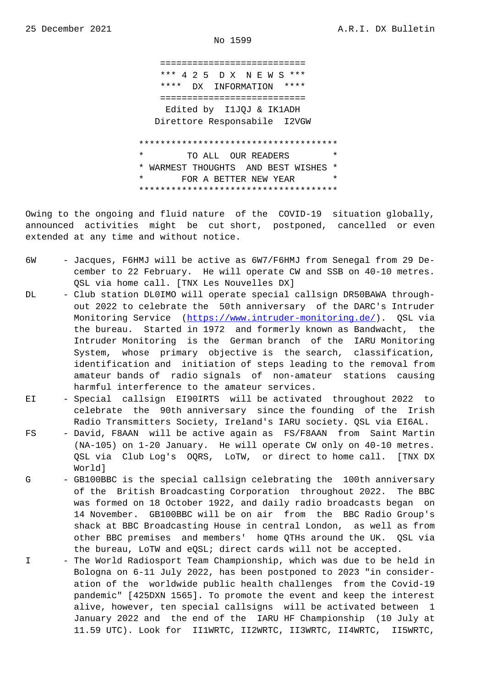$NQ$  1399

 =========================== \*\*\* 4 2 5 D X N E W S \*\*\* \*\*\*\* DX INFORMATION \*\*\*\* =========================== Edited by I1JQJ & IK1ADH Direttore Responsabile I2VGW \*\*\*\*\*\*\*\*\*\*\*\*\*\*\*\*\*\*\*\*\*\*\*\*\*\*\*\*\*\*\*\*\*\*\*\*\* TO ALL OUR READERS \* WARMEST THOUGHTS AND BEST WISHES \* FOR A BETTER NEW YEAR \*\*\*\*\*\*\*\*\*\*\*\*\*\*\*\*\*\*\*\*\*\*\*\*\*\*\*\*\*\*\*\*\*\*\*\*\*

Owing to the ongoing and fluid nature of the COVID-19 situation globally, announced activities might be cut short, postponed, cancelled or even extended at any time and without notice.

- 6W Jacques, F6HMJ will be active as 6W7/F6HMJ from Senegal from 29 De cember to 22 February. He will operate CW and SSB on 40-10 metres. QSL via home call. [TNX Les Nouvelles DX]
- DL Club station DL0IMO will operate special callsign DR50BAWA through out 2022 to celebrate the 50th anniversary of the DARC's Intruder Monitoring Service (https://www.intruder-monitoring.de/). QSL via the bureau. Started in 1972 and formerly known as Bandwacht, the Intruder Monitoring is the German branch of the IARU Monitoring System, whose prim[ary objective is the search, clas](https://www.intruder-monitoring.de/)sification, identification and initiation of steps leading to the removal from amateur bands of radio signals of non-amateur stations causing harmful interference to the amateur services.
- EI Special callsign EI90IRTS will be activated throughout 2022 to celebrate the 90th anniversary since the founding of the Irish Radio Transmitters Society, Ireland's IARU society. QSL via EI6AL.
- FS David, F8AAN will be active again as FS/F8AAN from Saint Martin (NA-105) on 1-20 January. He will operate CW only on 40-10 metres. QSL via Club Log's OQRS, LoTW, or direct to home call. [TNX DX World]
- G GB100BBC is the special callsign celebrating the 100th anniversary of the British Broadcasting Corporation throughout 2022. The BBC was formed on 18 October 1922, and daily radio broadcasts began on 14 November. GB100BBC will be on air from the BBC Radio Group's shack at BBC Broadcasting House in central London, as well as from other BBC premises and members' home QTHs around the UK. QSL via the bureau, LoTW and eQSL; direct cards will not be accepted.
- I The World Radiosport Team Championship, which was due to be held in Bologna on 6-11 July 2022, has been postponed to 2023 "in consider ation of the worldwide public health challenges from the Covid-19 pandemic" [425DXN 1565]. To promote the event and keep the interest alive, however, ten special callsigns will be activated between 1 January 2022 and the end of the IARU HF Championship (10 July at 11.59 UTC). Look for II1WRTC, II2WRTC, II3WRTC, II4WRTC, II5WRTC,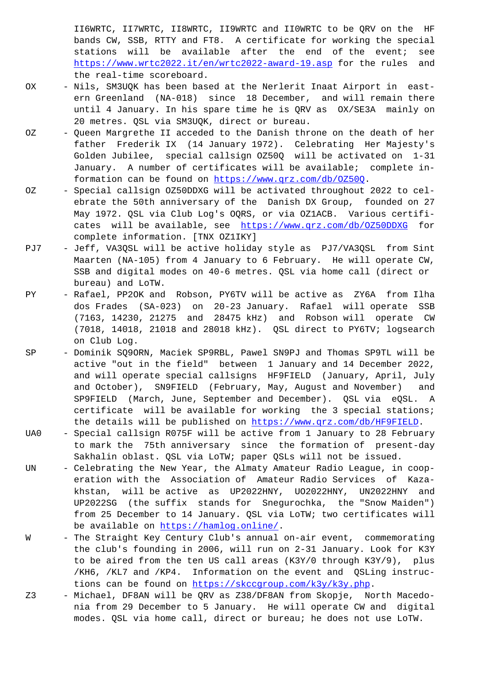bands CW, SSB, RTTY and FT8. A certificate for working the special stations will be available after the end of the event; see https://www.wrtc2022.it/en/wrtc2022-award-19.asp for the rules and the real-time scoreboard.

- OX Nils, SM3UQK has been based at the Nerlerit Inaat Airport in east ern Greenland (NA-018) since 18 December, and will remain there [until 4 January. In his spare time he is QRV as](https://www.wrtc2022.it/en/wrtc2022-award-19.asp) OX/SE3A mainly on 20 metres. QSL via SM3UQK, direct or bureau.
- OZ Queen Margrethe II acceded to the Danish throne on the death of her father Frederik IX (14 January 1972). Celebrating Her Majesty's Golden Jubilee, special callsign OZ50Q will be activated on 1-31 January. A number of certificates will be available; complete in formation can be found on https://www.qrz.com/db/OZ50Q.
- OZ Special callsign OZ50DDXG will be activated throughout 2022 to cel ebrate the 50th anniversary of the Danish DX Group, founded on 27 May 1972. QSL via Club Lo[g](https://www.qrz.com/db/OZ50Q)'[s OQRS, or via OZ1ACB. Vari](https://www.qrz.com/db/OZ50Q)ous certifi cates will be available, see https://www.qrz.com/db/OZ50DDXG for complete information. [TNX OZ1IKY]
- PJ7 Jeff, VA3QSL will be active holiday style as PJ7/VA3QSL from Sint Maarten (NA-105) from 4 January to 6 February. He will operate CW, SSB and digital modes on 40-6 [metres. QSL via home call \(direct](https://www.qrz.com/db/OZ50DDXG) or bureau) and LoTW.
- PY Rafael, PP2OK and Robson, PY6TV will be active as ZY6A from Ilha dos Frades (SA-023) on 20-23 January. Rafael will operate SSB (7163, 14230, 21275 and 28475 kHz) and Robson will operate CW (7018, 14018, 21018 and 28018 kHz). QSL direct to PY6TV; logsearch on Club Log.
- SP Dominik SQ9ORN, Maciek SP9RBL, Pawel SN9PJ and Thomas SP9TL will be active "out in the field" between 1 January and 14 December 2022, and will operate special callsigns HF9FIELD (January, April, July and October), SN9FIELD (February, May, August and November) and SP9FIELD (March, June, September and December). QSL via eQSL. A certificate will be available for working the 3 special stations; the details will be published on https://www.qrz.com/db/HF9FIELD.
- UA0 Special callsign R075F will be active from 1 January to 28 February to mark the 75th anniversary since the formation of present-day Sakhalin oblast. QSL via LoTW; paper QSLs will not be issued.
- UN Celebrating the New Year, the Al[maty Amateur Radio League, in coo](https://www.qrz.com/db/HF9FIELD)p eration with the Association of Amateur Radio Services of Kaza khstan, will be active as UP2022HNY, UO2022HNY, UN2022HNY and UP2022SG (the suffix stands for Snegurochka, the "Snow Maiden") from 25 December to 14 January. QSL via LoTW; two certificates will be available on https://hamlog.online/.
- W The Straight Key Century Club's annual on-air event, commemorating the club's founding in 2006, will run on 2-31 January. Look for K3Y to be aired fro[m the ten US call areas](https://hamlog.online/) (K3Y/0 through K3Y/9), plus /KH6, /KL7 and /KP4. Information on the event and QSLing instruc tions can be found on https://skccgroup.com/k3y/k3y.php.
- Z3 Michael, DF8AN will be QRV as Z38/DF8AN from Skopje, North Macedo nia from 29 December to 5 January. He will operate CW and digital modes. QSL via home ca[ll, direct or bureau; he does not](https://skccgroup.com/k3y/k3y.php) use LoTW.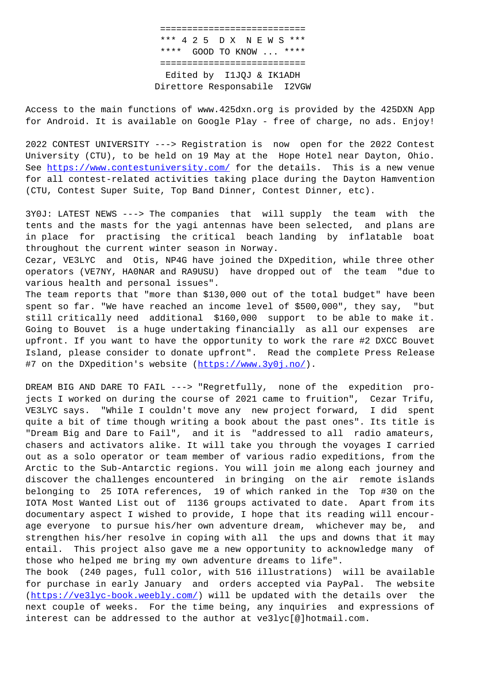\*\*\* 4 2 5 D X N E W S \*\*\* \*\*\*\* GOOD TO KNOW ... \*\*\*\* =========================== Edited by I1JQJ & IK1ADH Direttore Responsabile I2VGW

Access to the main functions of www.425dxn.org is provided by the 425DXN App for Android. It is available on Google Play - free of charge, no ads. Enjoy!

2022 CONTEST UNIVERSITY ---> Registration is now open for the 2022 Contest University (CTU), to be held on 19 May at the Hope Hotel near Dayton, Ohio. See https://www.contestuniversity.com/ for the details. This is a new venue for all contest-related activities taking place during the Dayton Hamvention (CTU, Contest Super Suite, Top Band Dinner, Contest Dinner, etc).

3Y0J[: LATEST NEWS ---> The companies t](https://www.contestuniversity.com/)hat will supply the team with the tents and the masts for the yagi antennas have been selected, and plans are in place for practising the critical beach landing by inflatable boat throughout the current winter season in Norway.

Cezar, VE3LYC and Otis, NP4G have joined the DXpedition, while three other operators (VE7NY, HA0NAR and RA9USU) have dropped out of the team "due to various health and personal issues".

The team reports that "more than \$130,000 out of the total budget" have been spent so far. "We have reached an income level of \$500,000", they say, "but still critically need additional \$160,000 support to be able to make it. Going to Bouvet is a huge undertaking financially as all our expenses are upfront. If you want to have the opportunity to work the rare #2 DXCC Bouvet Island, please consider to donate upfront". Read the complete Press Release #7 on the DXpedition's website (https://www.3y0j.no/).

DREAM BIG AND DARE TO FAIL ---> "Regretfully, none of the expedition projects I worked on during the co[urse of 2021 came to](https://www.3y0j.no/) fruition", Cezar Trifu, VE3LYC says. "While I couldn't move any new project forward, I did spent quite a bit of time though writing a book about the past ones". Its title is "Dream Big and Dare to Fail", and it is "addressed to all radio amateurs, chasers and activators alike. It will take you through the voyages I carried out as a solo operator or team member of various radio expeditions, from the Arctic to the Sub-Antarctic regions. You will join me along each journey and discover the challenges encountered in bringing on the air remote islands belonging to 25 IOTA references, 19 of which ranked in the Top #30 on the IOTA Most Wanted List out of 1136 groups activated to date. Apart from its documentary aspect I wished to provide, I hope that its reading will encourage everyone to pursue his/her own adventure dream, whichever may be, and strengthen his/her resolve in coping with all the ups and downs that it may entail. This project also gave me a new opportunity to acknowledge many of those who helped me bring my own adventure dreams to life".

The book (240 pages, full color, with 516 illustrations) will be available for purchase in early January and orders accepted via PayPal. The website (https://ve3lyc-book.weebly.com/) will be updated with the details over the next couple of weeks. For the time being, any inquiries and expressions of interest can be addressed to the author at ve3lyc[@]hotmail.com.